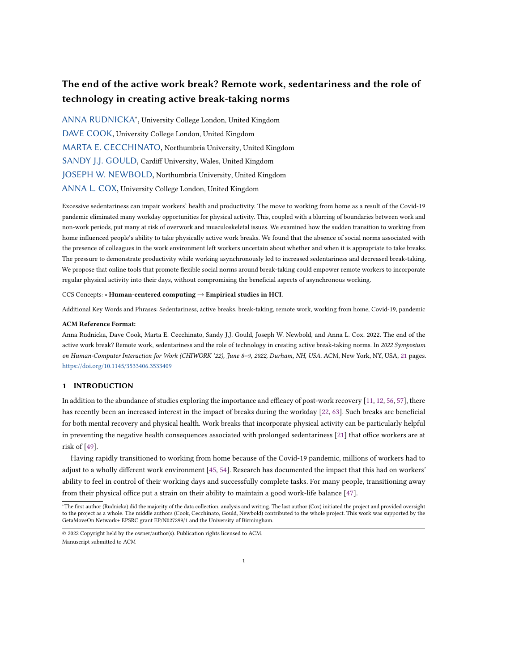# The end of the active work break? Remote work, sedentariness and the role of technology in creating active break-taking norms

[ANNA RUDNICKA](HTTPS://ORCID.ORG/0000-0002-8236-6270)<sup>∗</sup> , University College London, United Kingdom [DAVE COOK,](HTTPS://ORCID.ORG/0000-0002-7804-3997) University College London, United Kingdom [MARTA E. CECCHINATO,](HTTPS://ORCID.ORG/0000-0002-0627-8658) Northumbria University, United Kingdom [SANDY J.J. GOULD,](HTTPS://ORCID.ORG/0000-0003-0476-4270) Cardiff University, Wales, United Kingdom [JOSEPH W. NEWBOLD,](HTTPS://ORCID.ORG/0000-0002-0198-3198) Northumbria University, United Kingdom [ANNA L. COX,](HTTPS://ORCID.ORG/0000-0003-2231-2964) University College London, United Kingdom

Excessive sedentariness can impair workers' health and productivity. The move to working from home as a result of the Covid-19 pandemic eliminated many workday opportunities for physical activity. This, coupled with a blurring of boundaries between work and non-work periods, put many at risk of overwork and musculoskeletal issues. We examined how the sudden transition to working from home influenced people's ability to take physically active work breaks. We found that the absence of social norms associated with the presence of colleagues in the work environment left workers uncertain about whether and when it is appropriate to take breaks. The pressure to demonstrate productivity while working asynchronously led to increased sedentariness and decreased break-taking. We propose that online tools that promote flexible social norms around break-taking could empower remote workers to incorporate regular physical activity into their days, without compromising the beneficial aspects of asynchronous working.

CCS Concepts: • Human-centered computing  $\rightarrow$  Empirical studies in HCI.

Additional Key Words and Phrases: Sedentariness, active breaks, break-taking, remote work, working from home, Covid-19, pandemic

## ACM Reference Format:

Anna Rudnicka, Dave Cook, Marta E. Cecchinato, Sandy J.J. Gould, Joseph W. Newbold, and Anna L. Cox. 2022. The end of the active work break? Remote work, sedentariness and the role of technology in creating active break-taking norms. In 2022 Symposium on Human-Computer Interaction for Work (CHIWORK '22), June 8–9, 2022, Durham, NH, USA. ACM, New York, NY, USA, [21](#page-20-0) pages. <https://doi.org/10.1145/3533406.3533409>

## 1 INTRODUCTION

In addition to the abundance of studies exploring the importance and efficacy of post-work recovery [\[11,](#page-17-0) [12,](#page-17-1) [56,](#page-19-0) [57\]](#page-19-1), there has recently been an increased interest in the impact of breaks during the workday [\[22,](#page-18-0) [63\]](#page-20-1). Such breaks are beneficial for both mental recovery and physical health. Work breaks that incorporate physical activity can be particularly helpful in preventing the negative health consequences associated with prolonged sedentariness [\[21\]](#page-18-1) that office workers are at risk of [\[49\]](#page-19-2).

Having rapidly transitioned to working from home because of the Covid-19 pandemic, millions of workers had to adjust to a wholly different work environment [\[45,](#page-19-3) [54\]](#page-19-4). Research has documented the impact that this had on workers' ability to feel in control of their working days and successfully complete tasks. For many people, transitioning away from their physical office put a strain on their ability to maintain a good work-life balance [\[47\]](#page-19-5).

<sup>∗</sup>The first author (Rudnicka) did the majority of the data collection, analysis and writing. The last author (Cox) initiated the project and provided oversight to the project as a whole. The middle authors (Cook, Cecchinato, Gould, Newbold) contributed to the whole project. This work was supported by the GetaMoveOn Network+ EPSRC grant EP/N027299/1 and the University of Birmingham.

<sup>©</sup> 2022 Copyright held by the owner/author(s). Publication rights licensed to ACM. Manuscript submitted to ACM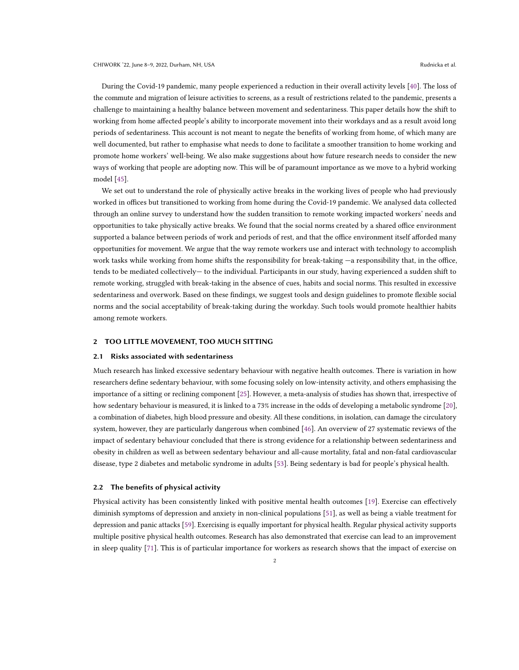During the Covid-19 pandemic, many people experienced a reduction in their overall activity levels [\[40\]](#page-19-6). The loss of the commute and migration of leisure activities to screens, as a result of restrictions related to the pandemic, presents a challenge to maintaining a healthy balance between movement and sedentariness. This paper details how the shift to working from home affected people's ability to incorporate movement into their workdays and as a result avoid long periods of sedentariness. This account is not meant to negate the benefits of working from home, of which many are well documented, but rather to emphasise what needs to done to facilitate a smoother transition to home working and promote home workers' well-being. We also make suggestions about how future research needs to consider the new ways of working that people are adopting now. This will be of paramount importance as we move to a hybrid working model [\[45\]](#page-19-3).

We set out to understand the role of physically active breaks in the working lives of people who had previously worked in offices but transitioned to working from home during the Covid-19 pandemic. We analysed data collected through an online survey to understand how the sudden transition to remote working impacted workers' needs and opportunities to take physically active breaks. We found that the social norms created by a shared office environment supported a balance between periods of work and periods of rest, and that the office environment itself afforded many opportunities for movement. We argue that the way remote workers use and interact with technology to accomplish work tasks while working from home shifts the responsibility for break-taking -a responsibility that, in the office, tends to be mediated collectively— to the individual. Participants in our study, having experienced a sudden shift to remote working, struggled with break-taking in the absence of cues, habits and social norms. This resulted in excessive sedentariness and overwork. Based on these findings, we suggest tools and design guidelines to promote flexible social norms and the social acceptability of break-taking during the workday. Such tools would promote healthier habits among remote workers.

#### 2 TOO LITTLE MOVEMENT, TOO MUCH SITTING

#### 2.1 Risks associated with sedentariness

Much research has linked excessive sedentary behaviour with negative health outcomes. There is variation in how researchers define sedentary behaviour, with some focusing solely on low-intensity activity, and others emphasising the importance of a sitting or reclining component [\[25\]](#page-18-2). However, a meta-analysis of studies has shown that, irrespective of how sedentary behaviour is measured, it is linked to a 73% increase in the odds of developing a metabolic syndrome [\[20\]](#page-18-3), a combination of diabetes, high blood pressure and obesity. All these conditions, in isolation, can damage the circulatory system, however, they are particularly dangerous when combined [\[46\]](#page-19-7). An overview of 27 systematic reviews of the impact of sedentary behaviour concluded that there is strong evidence for a relationship between sedentariness and obesity in children as well as between sedentary behaviour and all-cause mortality, fatal and non-fatal cardiovascular disease, type 2 diabetes and metabolic syndrome in adults [\[53\]](#page-19-8). Being sedentary is bad for people's physical health.

#### 2.2 The benefits of physical activity

Physical activity has been consistently linked with positive mental health outcomes [\[19\]](#page-18-4). Exercise can effectively diminish symptoms of depression and anxiety in non-clinical populations [\[51\]](#page-19-9), as well as being a viable treatment for depression and panic attacks [\[59\]](#page-19-10). Exercising is equally important for physical health. Regular physical activity supports multiple positive physical health outcomes. Research has also demonstrated that exercise can lead to an improvement in sleep quality [\[71\]](#page-20-2). This is of particular importance for workers as research shows that the impact of exercise on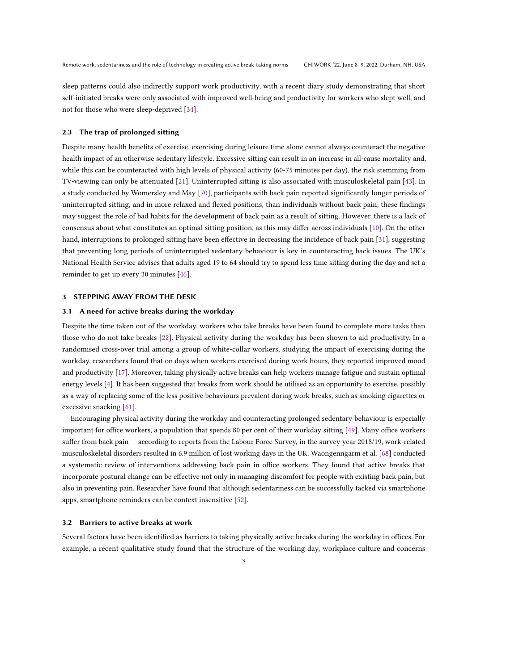sleep patterns could also indirectly support work productivity, with a recent diary study demonstrating that short self-initiated breaks were only associated with improved well-being and productivity for workers who slept well, and not for those who were sleep-deprived [\[34\]](#page-18-5).

## 2.3 The trap of prolonged sitting

Despite many health benefits of exercise, exercising during leisure time alone cannot always counteract the negative health impact of an otherwise sedentary lifestyle. Excessive sitting can result in an increase in all-cause mortality and, while this can be counteracted with high levels of physical activity (60-75 minutes per day), the risk stemming from TV-viewing can only be attenuated [\[21\]](#page-18-1). Uninterrupted sitting is also associated with musculoskeletal pain [\[43\]](#page-19-11). In a study conducted by Womersley and May [\[70\]](#page-20-3), participants with back pain reported significantly longer periods of uninterrupted sitting, and in more relaxed and flexed positions, than individuals without back pain; these findings may suggest the role of bad habits for the development of back pain as a result of sitting. However, there is a lack of consensus about what constitutes an optimal sitting position, as this may differ across individuals [\[10\]](#page-17-2). On the other hand, interruptions to prolonged sitting have been effective in decreasing the incidence of back pain [\[31\]](#page-18-6), suggesting that preventing long periods of uninterrupted sedentary behaviour is key in counteracting back issues. The UK's National Health Service advises that adults aged 19 to 64 should try to spend less time sitting during the day and set a reminder to get up every 30 minutes [\[46\]](#page-19-7).

## 3 STEPPING AWAY FROM THE DESK

#### 3.1 A need for active breaks during the workday

Despite the time taken out of the workday, workers who take breaks have been found to complete more tasks than those who do not take breaks [\[22\]](#page-18-0). Physical activity during the workday has been shown to aid productivity. In a randomised cross-over trial among a group of white-collar workers, studying the impact of exercising during the workday, researchers found that on days when workers exercised during work hours, they reported improved mood and productivity [\[17\]](#page-18-7). Moreover, taking physically active breaks can help workers manage fatigue and sustain optimal energy levels [\[4\]](#page-17-3). It has been suggested that breaks from work should be utilised as an opportunity to exercise, possibly as a way of replacing some of the less positive behaviours prevalent during work breaks, such as smoking cigarettes or excessive snacking [\[61\]](#page-19-12).

Encouraging physical activity during the workday and counteracting prolonged sedentary behaviour is especially important for office workers, a population that spends 80 per cent of their workday sitting [\[49\]](#page-19-2). Many office workers suffer from back pain — according to reports from the Labour Force Survey, in the survey year 2018/19, work-related musculoskeletal disorders resulted in 6.9 million of lost working days in the UK. Waongenngarm et al. [\[68\]](#page-20-4) conducted a systematic review of interventions addressing back pain in office workers. They found that active breaks that incorporate postural change can be effective not only in managing discomfort for people with existing back pain, but also in preventing pain. Researcher have found that although sedentariness can be successfully tacked via smartphone apps, smartphone reminders can be context insensitive [\[52\]](#page-19-13).

#### 3.2 Barriers to active breaks at work

Several factors have been identified as barriers to taking physically active breaks during the workday in offices. For example, a recent qualitative study found that the structure of the working day, workplace culture and concerns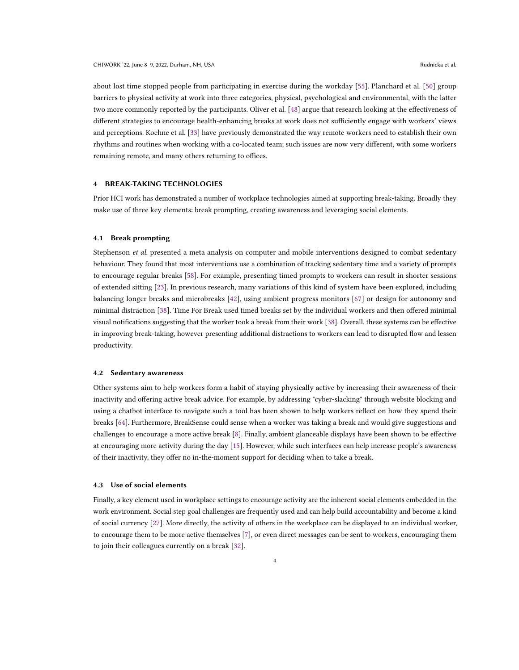about lost time stopped people from participating in exercise during the workday [\[55\]](#page-19-14). Planchard et al. [\[50\]](#page-19-15) group barriers to physical activity at work into three categories, physical, psychological and environmental, with the latter two more commonly reported by the participants. Oliver et al. [\[48\]](#page-19-16) argue that research looking at the effectiveness of different strategies to encourage health-enhancing breaks at work does not sufficiently engage with workers' views and perceptions. Koehne et al. [\[33\]](#page-18-8) have previously demonstrated the way remote workers need to establish their own rhythms and routines when working with a co-located team; such issues are now very different, with some workers remaining remote, and many others returning to offices.

## 4 BREAK-TAKING TECHNOLOGIES

Prior HCI work has demonstrated a number of workplace technologies aimed at supporting break-taking. Broadly they make use of three key elements: break prompting, creating awareness and leveraging social elements.

#### 4.1 Break prompting

Stephenson et al. presented a meta analysis on computer and mobile interventions designed to combat sedentary behaviour. They found that most interventions use a combination of tracking sedentary time and a variety of prompts to encourage regular breaks [\[58\]](#page-19-17). For example, presenting timed prompts to workers can result in shorter sessions of extended sitting [\[23\]](#page-18-9). In previous research, many variations of this kind of system have been explored, including balancing longer breaks and microbreaks [\[42\]](#page-19-18), using ambient progress monitors [\[67\]](#page-20-5) or design for autonomy and minimal distraction [\[38\]](#page-19-19). Time For Break used timed breaks set by the individual workers and then offered minimal visual notifications suggesting that the worker took a break from their work [\[38\]](#page-19-19). Overall, these systems can be effective in improving break-taking, however presenting additional distractions to workers can lead to disrupted flow and lessen productivity.

## 4.2 Sedentary awareness

Other systems aim to help workers form a habit of staying physically active by increasing their awareness of their inactivity and offering active break advice. For example, by addressing "cyber-slacking" through website blocking and using a chatbot interface to navigate such a tool has been shown to help workers reflect on how they spend their breaks [\[64\]](#page-20-6). Furthermore, BreakSense could sense when a worker was taking a break and would give suggestions and challenges to encourage a more active break [\[8\]](#page-17-4). Finally, ambient glanceable displays have been shown to be effective at encouraging more activity during the day [\[15\]](#page-18-10). However, while such interfaces can help increase people's awareness of their inactivity, they offer no in-the-moment support for deciding when to take a break.

### 4.3 Use of social elements

Finally, a key element used in workplace settings to encourage activity are the inherent social elements embedded in the work environment. Social step goal challenges are frequently used and can help build accountability and become a kind of social currency [\[27\]](#page-18-11). More directly, the activity of others in the workplace can be displayed to an individual worker, to encourage them to be more active themselves [\[7\]](#page-17-5), or even direct messages can be sent to workers, encouraging them to join their colleagues currently on a break [\[32\]](#page-18-12).

4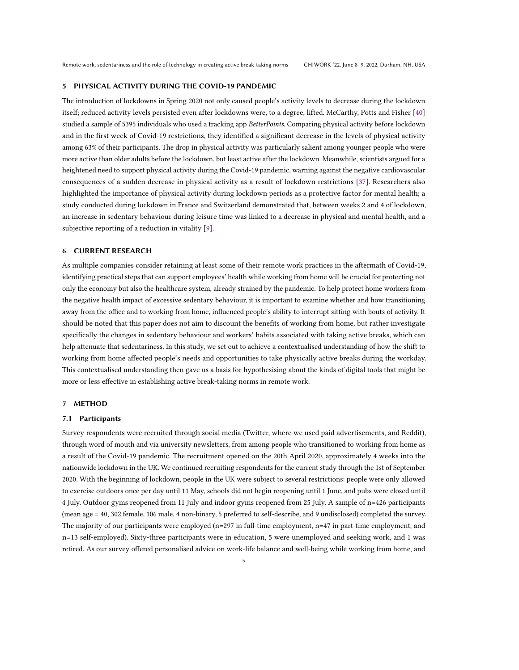## 5 PHYSICAL ACTIVITY DURING THE COVID-19 PANDEMIC

The introduction of lockdowns in Spring 2020 not only caused people's activity levels to decrease during the lockdown itself; reduced activity levels persisted even after lockdowns were, to a degree, lifted. McCarthy, Potts and Fisher [\[40\]](#page-19-6) studied a sample of 5395 individuals who used a tracking app BetterPoints. Comparing physical activity before lockdown and in the first week of Covid-19 restrictions, they identified a significant decrease in the levels of physical activity among 63% of their participants. The drop in physical activity was particularly salient among younger people who were more active than older adults before the lockdown, but least active after the lockdown. Meanwhile, scientists argued for a heightened need to support physical activity during the Covid-19 pandemic, warning against the negative cardiovascular consequences of a sudden decrease in physical activity as a result of lockdown restrictions [\[37\]](#page-18-13). Researchers also highlighted the importance of physical activity during lockdown periods as a protective factor for mental health; a study conducted during lockdown in France and Switzerland demonstrated that, between weeks 2 and 4 of lockdown, an increase in sedentary behaviour during leisure time was linked to a decrease in physical and mental health, and a subjective reporting of a reduction in vitality [\[9\]](#page-17-6).

# 6 CURRENT RESEARCH

As multiple companies consider retaining at least some of their remote work practices in the aftermath of Covid-19, identifying practical steps that can support employees' health while working from home will be crucial for protecting not only the economy but also the healthcare system, already strained by the pandemic. To help protect home workers from the negative health impact of excessive sedentary behaviour, it is important to examine whether and how transitioning away from the office and to working from home, influenced people's ability to interrupt sitting with bouts of activity. It should be noted that this paper does not aim to discount the benefits of working from home, but rather investigate specifically the changes in sedentary behaviour and workers' habits associated with taking active breaks, which can help attenuate that sedentariness. In this study, we set out to achieve a contextualised understanding of how the shift to working from home affected people's needs and opportunities to take physically active breaks during the workday. This contextualised understanding then gave us a basis for hypothesising about the kinds of digital tools that might be more or less effective in establishing active break-taking norms in remote work.

# 7 METHOD

## 7.1 Participants

Survey respondents were recruited through social media (Twitter, where we used paid advertisements, and Reddit), through word of mouth and via university newsletters, from among people who transitioned to working from home as a result of the Covid-19 pandemic. The recruitment opened on the 20th April 2020, approximately 4 weeks into the nationwide lockdown in the UK. We continued recruiting respondents for the current study through the 1st of September 2020. With the beginning of lockdown, people in the UK were subject to several restrictions: people were only allowed to exercise outdoors once per day until 11 May, schools did not begin reopening until 1 June, and pubs were closed until 4 July. Outdoor gyms reopened from 11 July and indoor gyms reopened from 25 July. A sample of n=426 participants (mean age = 40, 302 female, 106 male, 4 non-binary, 5 preferred to self-describe, and 9 undisclosed) completed the survey. The majority of our participants were employed (n=297 in full-time employment, n=47 in part-time employment, and n=13 self-employed). Sixty-three participants were in education, 5 were unemployed and seeking work, and 1 was retired. As our survey offered personalised advice on work-life balance and well-being while working from home, and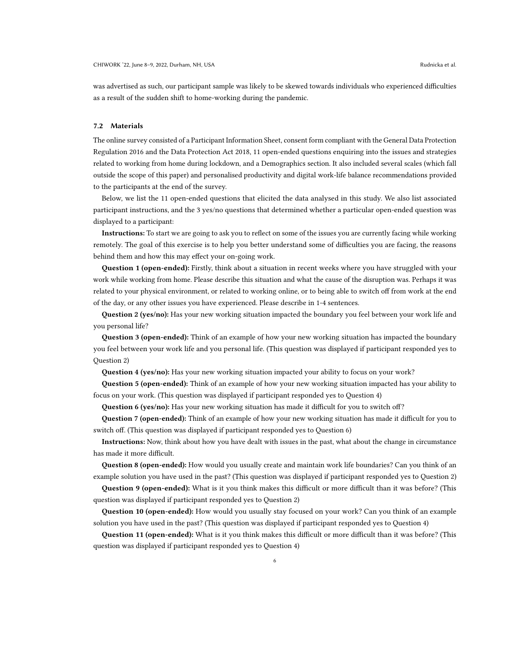was advertised as such, our participant sample was likely to be skewed towards individuals who experienced difficulties as a result of the sudden shift to home-working during the pandemic.

#### 7.2 Materials

The online survey consisted of a Participant Information Sheet, consent form compliant with the General Data Protection Regulation 2016 and the Data Protection Act 2018, 11 open-ended questions enquiring into the issues and strategies related to working from home during lockdown, and a Demographics section. It also included several scales (which fall outside the scope of this paper) and personalised productivity and digital work-life balance recommendations provided to the participants at the end of the survey.

Below, we list the 11 open-ended questions that elicited the data analysed in this study. We also list associated participant instructions, and the 3 yes/no questions that determined whether a particular open-ended question was displayed to a participant:

Instructions: To start we are going to ask you to reflect on some of the issues you are currently facing while working remotely. The goal of this exercise is to help you better understand some of difficulties you are facing, the reasons behind them and how this may effect your on-going work.

Question 1 (open-ended): Firstly, think about a situation in recent weeks where you have struggled with your work while working from home. Please describe this situation and what the cause of the disruption was. Perhaps it was related to your physical environment, or related to working online, or to being able to switch off from work at the end of the day, or any other issues you have experienced. Please describe in 1-4 sentences.

Question 2 (yes/no): Has your new working situation impacted the boundary you feel between your work life and you personal life?

Question 3 (open-ended): Think of an example of how your new working situation has impacted the boundary you feel between your work life and you personal life. (This question was displayed if participant responded yes to Question 2)

Question 4 (yes/no): Has your new working situation impacted your ability to focus on your work?

Question 5 (open-ended): Think of an example of how your new working situation impacted has your ability to focus on your work. (This question was displayed if participant responded yes to Question 4)

**Question 6 (yes/no):** Has your new working situation has made it difficult for you to switch off?

Question 7 (open-ended): Think of an example of how your new working situation has made it difficult for you to switch off. (This question was displayed if participant responded yes to Question 6)

Instructions: Now, think about how you have dealt with issues in the past, what about the change in circumstance has made it more difficult.

Question 8 (open-ended): How would you usually create and maintain work life boundaries? Can you think of an example solution you have used in the past? (This question was displayed if participant responded yes to Question 2)

Question 9 (open-ended): What is it you think makes this difficult or more difficult than it was before? (This question was displayed if participant responded yes to Question 2)

Question 10 (open-ended): How would you usually stay focused on your work? Can you think of an example solution you have used in the past? (This question was displayed if participant responded yes to Question 4)

Question 11 (open-ended): What is it you think makes this difficult or more difficult than it was before? (This question was displayed if participant responded yes to Question 4)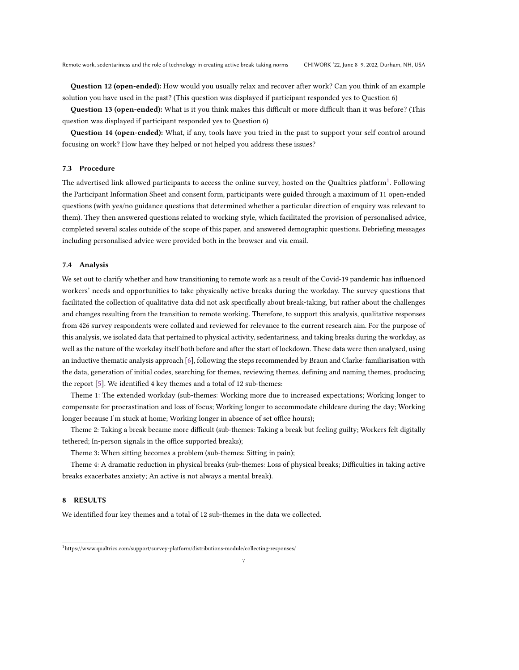Question 12 (open-ended): How would you usually relax and recover after work? Can you think of an example solution you have used in the past? (This question was displayed if participant responded yes to Question 6)

Question 13 (open-ended): What is it you think makes this difficult or more difficult than it was before? (This question was displayed if participant responded yes to Question 6)

Question 14 (open-ended): What, if any, tools have you tried in the past to support your self control around focusing on work? How have they helped or not helped you address these issues?

## 7.3 Procedure

The advertised link allowed participants to access the online survey, hosted on the Qualtrics platform $^1$  $^1$ . Following the Participant Information Sheet and consent form, participants were guided through a maximum of 11 open-ended questions (with yes/no guidance questions that determined whether a particular direction of enquiry was relevant to them). They then answered questions related to working style, which facilitated the provision of personalised advice, completed several scales outside of the scope of this paper, and answered demographic questions. Debriefing messages including personalised advice were provided both in the browser and via email.

## 7.4 Analysis

We set out to clarify whether and how transitioning to remote work as a result of the Covid-19 pandemic has influenced workers' needs and opportunities to take physically active breaks during the workday. The survey questions that facilitated the collection of qualitative data did not ask specifically about break-taking, but rather about the challenges and changes resulting from the transition to remote working. Therefore, to support this analysis, qualitative responses from 426 survey respondents were collated and reviewed for relevance to the current research aim. For the purpose of this analysis, we isolated data that pertained to physical activity, sedentariness, and taking breaks during the workday, as well as the nature of the workday itself both before and after the start of lockdown. These data were then analysed, using an inductive thematic analysis approach [\[6\]](#page-17-7), following the steps recommended by Braun and Clarke: familiarisation with the data, generation of initial codes, searching for themes, reviewing themes, defining and naming themes, producing the report [\[5\]](#page-17-8). We identified 4 key themes and a total of 12 sub-themes:

Theme 1: The extended workday (sub-themes: Working more due to increased expectations; Working longer to compensate for procrastination and loss of focus; Working longer to accommodate childcare during the day; Working longer because I'm stuck at home; Working longer in absence of set office hours);

Theme 2: Taking a break became more difficult (sub-themes: Taking a break but feeling guilty; Workers felt digitally tethered; In-person signals in the office supported breaks);

Theme 3: When sitting becomes a problem (sub-themes: Sitting in pain);

Theme 4: A dramatic reduction in physical breaks (sub-themes: Loss of physical breaks; Difficulties in taking active breaks exacerbates anxiety; An active is not always a mental break).

## 8 RESULTS

We identified four key themes and a total of 12 sub-themes in the data we collected.

<span id="page-6-0"></span> $^1$ https://www.qualtrics.com/support/survey-platform/distributions-module/collecting-responses/  $\,$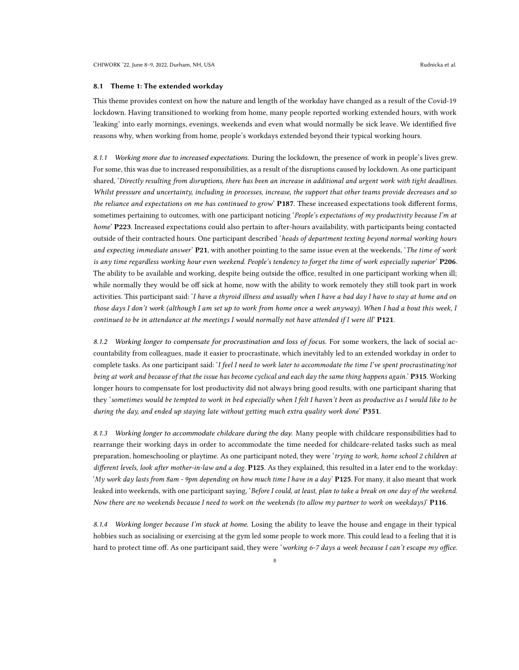## 8.1 Theme 1: The extended workday

This theme provides context on how the nature and length of the workday have changed as a result of the Covid-19 lockdown. Having transitioned to working from home, many people reported working extended hours, with work 'leaking' into early mornings, evenings, weekends and even what would normally be sick leave. We identified five reasons why, when working from home, people's workdays extended beyond their typical working hours.

8.1.1 Working more due to increased expectations. During the lockdown, the presence of work in people's lives grew. For some, this was due to increased responsibilities, as a result of the disruptions caused by lockdown. As one participant shared, 'Directly resulting from disruptions, there has been an increase in additional and urgent work with tight deadlines. Whilst pressure and uncertainty, including in processes, increase, the support that other teams provide decreases and so the reliance and expectations on me has continued to grow' P187. These increased expectations took different forms, sometimes pertaining to outcomes, with one participant noticing 'People's expectations of my productivity because I'm at home' P223. Increased expectations could also pertain to after-hours availability, with participants being contacted outside of their contracted hours. One participant described 'heads of department texting beyond normal working hours and expecting immediate answer' P21, with another pointing to the same issue even at the weekends, 'The time of work is any time regardless working hour even weekend. People's tendency to forget the time of work especially superior' P206. The ability to be available and working, despite being outside the office, resulted in one participant working when ill; while normally they would be off sick at home, now with the ability to work remotely they still took part in work activities. This participant said: 'I have a thyroid illness and usually when I have a bad day I have to stay at home and on those days I don't work (although I am set up to work from home once a week anyway). When I had a bout this week, I continued to be in attendance at the meetings I would normally not have attended if I were ill' P121.

8.1.2 Working longer to compensate for procrastination and loss of focus. For some workers, the lack of social accountability from colleagues, made it easier to procrastinate, which inevitably led to an extended workday in order to complete tasks. As one participant said: 'I feel I need to work later to accommodate the time I've spent procrastinating/not being at work and because of that the issue has become cyclical and each day the same thing happens again.' P315. Working longer hours to compensate for lost productivity did not always bring good results, with one participant sharing that they 'sometimes would be tempted to work in bed especially when I felt I haven't been as productive as I would like to be during the day, and ended up staying late without getting much extra quality work done'  $P351$ .

8.1.3 Working longer to accommodate childcare during the day. Many people with childcare responsibilities had to rearrange their working days in order to accommodate the time needed for childcare-related tasks such as meal preparation, homeschooling or playtime. As one participant noted, they were 'trying to work, home school 2 children at different levels, look after mother-in-law and a dog. P125. As they explained, this resulted in a later end to the workday: 'My work day lasts from 8am - 9pm depending on how much time I have in a day' P125. For many, it also meant that work leaked into weekends, with one participant saying, 'Before I could, at least, plan to take a break on one day of the weekend. Now there are no weekends because I need to work on the weekends (to allow my partner to work on weekdays)'  $P116$ .

8.1.4 Working longer because I'm stuck at home. Losing the ability to leave the house and engage in their typical hobbies such as socialising or exercising at the gym led some people to work more. This could lead to a feeling that it is hard to protect time off. As one participant said, they were 'working 6-7 days a week because I can't escape my office.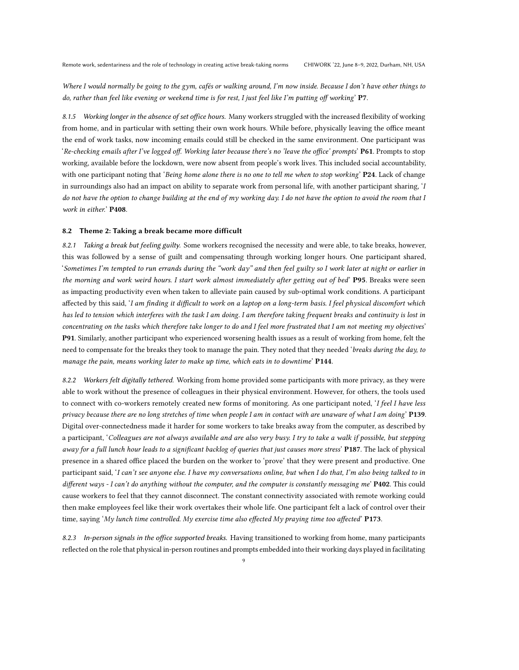Where I would normally be going to the gym, cafés or walking around, I'm now inside. Because I don't have other things to do, rather than feel like evening or weekend time is for rest, I just feel like I'm putting off working' P7.

8.1.5 Working longer in the absence of set office hours. Many workers struggled with the increased flexibility of working from home, and in particular with setting their own work hours. While before, physically leaving the office meant the end of work tasks, now incoming emails could still be checked in the same environment. One participant was 'Re-checking emails after I've logged off. Working later because there's no 'leave the office' prompts'  $P61$ . Prompts to stop working, available before the lockdown, were now absent from people's work lives. This included social accountability, with one participant noting that 'Being home alone there is no one to tell me when to stop working' P24. Lack of change in surroundings also had an impact on ability to separate work from personal life, with another participant sharing, 'I do not have the option to change building at the end of my working day. I do not have the option to avoid the room that I work in either.' P408.

#### 8.2 Theme 2: Taking a break became more difficult

8.2.1 Taking a break but feeling guilty. Some workers recognised the necessity and were able, to take breaks, however, this was followed by a sense of guilt and compensating through working longer hours. One participant shared, 'Sometimes I'm tempted to run errands during the "work day" and then feel guilty so I work later at night or earlier in the morning and work weird hours. I start work almost immediately after getting out of bed' P95. Breaks were seen as impacting productivity even when taken to alleviate pain caused by sub-optimal work conditions. A participant affected by this said, 'I am finding it difficult to work on a laptop on a long-term basis. I feel physical discomfort which has led to tension which interferes with the task I am doing. I am therefore taking frequent breaks and continuity is lost in concentrating on the tasks which therefore take longer to do and I feel more frustrated that I am not meeting my objectives' P91. Similarly, another participant who experienced worsening health issues as a result of working from home, felt the need to compensate for the breaks they took to manage the pain. They noted that they needed 'breaks during the day, to manage the pain, means working later to make up time, which eats in to downtime' P144.

8.2.2 Workers felt digitally tethered. Working from home provided some participants with more privacy, as they were able to work without the presence of colleagues in their physical environment. However, for others, the tools used to connect with co-workers remotely created new forms of monitoring. As one participant noted, 'I feel I have less privacy because there are no long stretches of time when people I am in contact with are unaware of what I am doing' P139. Digital over-connectedness made it harder for some workers to take breaks away from the computer, as described by a participant, 'Colleagues are not always available and are also very busy. I try to take a walk if possible, but stepping away for a full lunch hour leads to a significant backlog of queries that just causes more stress' P187. The lack of physical presence in a shared office placed the burden on the worker to 'prove' that they were present and productive. One participant said, 'I can't see anyone else. I have my conversations online, but when I do that, I'm also being talked to in different ways - I can't do anything without the computer, and the computer is constantly messaging me' P402. This could cause workers to feel that they cannot disconnect. The constant connectivity associated with remote working could then make employees feel like their work overtakes their whole life. One participant felt a lack of control over their time, saying 'My lunch time controlled. My exercise time also effected My praying time too affected' P173.

8.2.3 In-person signals in the office supported breaks. Having transitioned to working from home, many participants reflected on the role that physical in-person routines and prompts embedded into their working days played in facilitating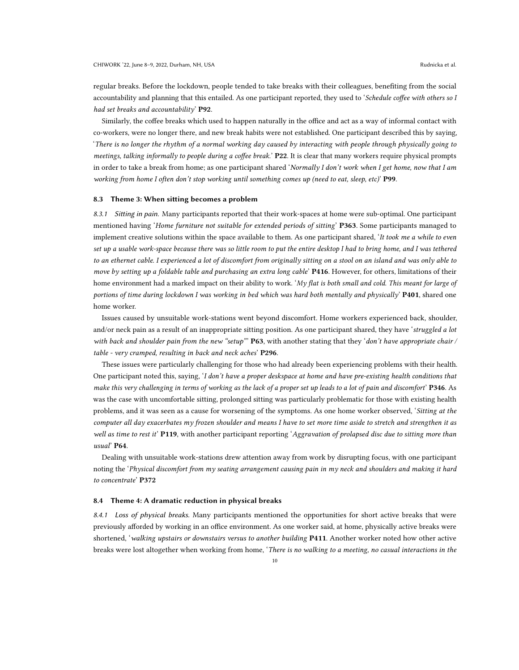regular breaks. Before the lockdown, people tended to take breaks with their colleagues, benefiting from the social accountability and planning that this entailed. As one participant reported, they used to 'Schedule coffee with others so I had set breaks and accountability' P92.

Similarly, the coffee breaks which used to happen naturally in the office and act as a way of informal contact with co-workers, were no longer there, and new break habits were not established. One participant described this by saying, 'There is no longer the rhythm of a normal working day caused by interacting with people through physically going to meetings, talking informally to people during a coffee break.' P22. It is clear that many workers require physical prompts in order to take a break from home; as one participant shared 'Normally I don't work when I get home, now that I am working from home I often don't stop working until something comes up (need to eat, sleep, etc)' P99.

## 8.3 Theme 3: When sitting becomes a problem

8.3.1 Sitting in pain. Many participants reported that their work-spaces at home were sub-optimal. One participant mentioned having 'Home furniture not suitable for extended periods of sitting' P363. Some participants managed to implement creative solutions within the space available to them. As one participant shared, 'It took me a while to even set up a usable work-space because there was so little room to put the entire desktop I had to bring home, and I was tethered to an ethernet cable. I experienced a lot of discomfort from originally sitting on a stool on an island and was only able to move by setting up a foldable table and purchasing an extra long cable' P416. However, for others, limitations of their home environment had a marked impact on their ability to work. 'My flat is both small and cold. This meant for large of portions of time during lockdown I was working in bed which was hard both mentally and physically' **P401**, shared one home worker.

Issues caused by unsuitable work-stations went beyond discomfort. Home workers experienced back, shoulder, and/or neck pain as a result of an inappropriate sitting position. As one participant shared, they have 'struggled a lot with back and shoulder pain from the new "setup"  $P63$ , with another stating that they 'don't have appropriate chair / table - very cramped, resulting in back and neck aches' P296.

These issues were particularly challenging for those who had already been experiencing problems with their health. One participant noted this, saying, 'I don't have a proper deskspace at home and have pre-existing health conditions that make this very challenging in terms of working as the lack of a proper set up leads to a lot of pain and discomfort' P346. As was the case with uncomfortable sitting, prolonged sitting was particularly problematic for those with existing health problems, and it was seen as a cause for worsening of the symptoms. As one home worker observed, 'Sitting at the computer all day exacerbates my frozen shoulder and means I have to set more time aside to stretch and strengthen it as well as time to rest it' P119, with another participant reporting 'Aggravation of prolapsed disc due to sitting more than usual' P64.

Dealing with unsuitable work-stations drew attention away from work by disrupting focus, with one participant noting the 'Physical discomfort from my seating arrangement causing pain in my neck and shoulders and making it hard to concentrate' P372

## 8.4 Theme 4: A dramatic reduction in physical breaks

8.4.1 Loss of physical breaks. Many participants mentioned the opportunities for short active breaks that were previously afforded by working in an office environment. As one worker said, at home, physically active breaks were shortened, 'walking upstairs or downstairs versus to another building P411. Another worker noted how other active breaks were lost altogether when working from home, 'There is no walking to a meeting, no casual interactions in the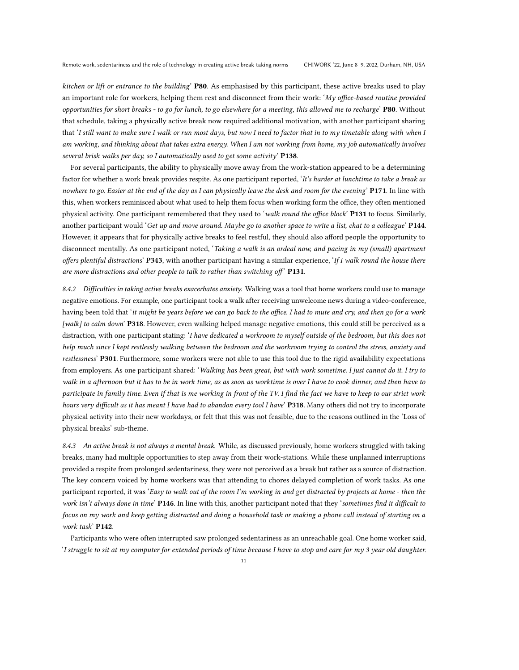kitchen or lift or entrance to the building' P80. As emphasised by this participant, these active breaks used to play an important role for workers, helping them rest and disconnect from their work: 'My office-based routine provided opportunities for short breaks - to go for lunch, to go elsewhere for a meeting, this allowed me to recharge' P80. Without that schedule, taking a physically active break now required additional motivation, with another participant sharing that 'I still want to make sure I walk or run most days, but now I need to factor that in to my timetable along with when I am working, and thinking about that takes extra energy. When I am not working from home, my job automatically involves several brisk walks per day, so I automatically used to get some activity'  $P138$ .

For several participants, the ability to physically move away from the work-station appeared to be a determining factor for whether a work break provides respite. As one participant reported, 'It's harder at lunchtime to take a break as nowhere to go. Easier at the end of the day as I can physically leave the desk and room for the evening' P171. In line with this, when workers reminisced about what used to help them focus when working form the office, they often mentioned physical activity. One participant remembered that they used to 'walk round the office block' P131 to focus. Similarly, another participant would 'Get up and move around. Maybe go to another space to write a list, chat to a colleague'  $P144$ . However, it appears that for physically active breaks to feel restful, they should also afford people the opportunity to disconnect mentally. As one participant noted, 'Taking a walk is an ordeal now, and pacing in my (small) apartment offers plentiful distractions' P343, with another participant having a similar experience, 'If I walk round the house there are more distractions and other people to talk to rather than switching off'  $P131$ .

8.4.2 Difficulties in taking active breaks exacerbates anxiety. Walking was a tool that home workers could use to manage negative emotions. For example, one participant took a walk after receiving unwelcome news during a video-conference, having been told that 'it might be years before we can go back to the office. I had to mute and cry, and then go for a work [walk] to calm down' P318. However, even walking helped manage negative emotions, this could still be perceived as a distraction, with one participant stating: 'I have dedicated a workroom to myself outside of the bedroom, but this does not help much since I kept restlessly walking between the bedroom and the workroom trying to control the stress, anxiety and restlessness' P301. Furthermore, some workers were not able to use this tool due to the rigid availability expectations from employers. As one participant shared: 'Walking has been great, but with work sometime. I just cannot do it. I try to walk in a afternoon but it has to be in work time, as as soon as worktime is over I have to cook dinner, and then have to participate in family time. Even if that is me working in front of the TV. I find the fact we have to keep to our strict work hours very difficult as it has meant I have had to abandon every tool I have' P318. Many others did not try to incorporate physical activity into their new workdays, or felt that this was not feasible, due to the reasons outlined in the 'Loss of physical breaks' sub-theme.

8.4.3 An active break is not always a mental break. While, as discussed previously, home workers struggled with taking breaks, many had multiple opportunities to step away from their work-stations. While these unplanned interruptions provided a respite from prolonged sedentariness, they were not perceived as a break but rather as a source of distraction. The key concern voiced by home workers was that attending to chores delayed completion of work tasks. As one participant reported, it was 'Easy to walk out of the room I'm working in and get distracted by projects at home - then the work isn't always done in time' P146. In line with this, another participant noted that they 'sometimes find it difficult to focus on my work and keep getting distracted and doing a household task or making a phone call instead of starting on a work task' P142.

Participants who were often interrupted saw prolonged sedentariness as an unreachable goal. One home worker said, 'I struggle to sit at my computer for extended periods of time because I have to stop and care for my 3 year old daughter.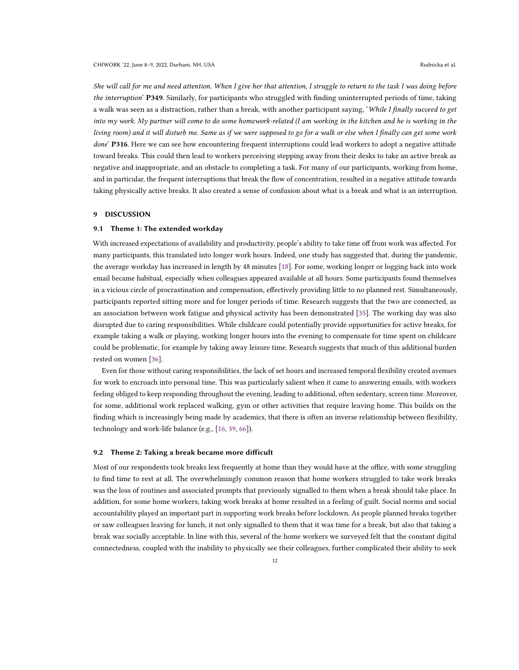She will call for me and need attention. When I give her that attention, I struggle to return to the task I was doing before the interruption' P349. Similarly, for participants who struggled with finding uninterrupted periods of time, taking a walk was seen as a distraction, rather than a break, with another participant saying, 'While I finally succeed to get into my work. My partner will come to do some homework-related (I am working in the kitchen and he is working in the living room) and it will disturb me. Same as if we were supposed to go for a walk or else when I finally can get some work done' P316. Here we can see how encountering frequent interruptions could lead workers to adopt a negative attitude toward breaks. This could then lead to workers perceiving stepping away from their desks to take an active break as negative and inappropriate, and an obstacle to completing a task. For many of our participants, working from home, and in particular, the frequent interruptions that break the flow of concentration, resulted in a negative attitude towards taking physically active breaks. It also created a sense of confusion about what is a break and what is an interruption.

## 9 DISCUSSION

#### 9.1 Theme 1: The extended workday

With increased expectations of availability and productivity, people's ability to take time off from work was affected. For many participants, this translated into longer work hours. Indeed, one study has suggested that, during the pandemic, the average workday has increased in length by 48 minutes [\[18\]](#page-18-14). For some, working longer or logging back into work email became habitual, especially when colleagues appeared available at all hours. Some participants found themselves in a vicious circle of procrastination and compensation, effectively providing little to no planned rest. Simultaneously, participants reported sitting more and for longer periods of time. Research suggests that the two are connected, as an association between work fatigue and physical activity has been demonstrated [\[35\]](#page-18-15). The working day was also disrupted due to caring responsibilities. While childcare could potentially provide opportunities for active breaks, for example taking a walk or playing, working longer hours into the evening to compensate for time spent on childcare could be problematic, for example by taking away leisure time. Research suggests that much of this additional burden rested on women [\[36\]](#page-18-16).

Even for those without caring responsibilities, the lack of set hours and increased temporal flexibility created avenues for work to encroach into personal time. This was particularly salient when it came to answering emails, with workers feeling obliged to keep responding throughout the evening, leading to additional, often sedentary, screen time. Moreover, for some, additional work replaced walking, gym or other activities that require leaving home. This builds on the finding which is increasingly being made by academics, that there is often an inverse relationship between flexibility, technology and work-life balance (e.g., [\[16,](#page-18-17) [39,](#page-19-20) [66\]](#page-20-7)).

#### 9.2 Theme 2: Taking a break became more difficult

Most of our respondents took breaks less frequently at home than they would have at the office, with some struggling to find time to rest at all. The overwhelmingly common reason that home workers struggled to take work breaks was the loss of routines and associated prompts that previously signalled to them when a break should take place. In addition, for some home workers, taking work breaks at home resulted in a feeling of guilt. Social norms and social accountability played an important part in supporting work breaks before lockdown. As people planned breaks together or saw colleagues leaving for lunch, it not only signalled to them that it was time for a break, but also that taking a break was socially acceptable. In line with this, several of the home workers we surveyed felt that the constant digital connectedness, coupled with the inability to physically see their colleagues, further complicated their ability to seek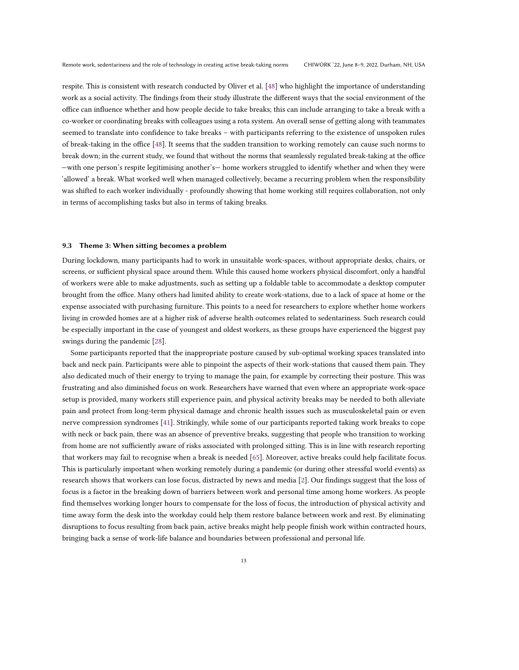respite. This is consistent with research conducted by Oliver et al. [\[48\]](#page-19-16) who highlight the importance of understanding work as a social activity. The findings from their study illustrate the different ways that the social environment of the office can influence whether and how people decide to take breaks; this can include arranging to take a break with a co-worker or coordinating breaks with colleagues using a rota system. An overall sense of getting along with teammates seemed to translate into confidence to take breaks – with participants referring to the existence of unspoken rules of break-taking in the office [\[48\]](#page-19-16). It seems that the sudden transition to working remotely can cause such norms to break down; in the current study, we found that without the norms that seamlessly regulated break-taking at the office —with one person's respite legitimising another's— home workers struggled to identify whether and when they were 'allowed' a break. What worked well when managed collectively, became a recurring problem when the responsibility was shifted to each worker individually - profoundly showing that home working still requires collaboration, not only in terms of accomplishing tasks but also in terms of taking breaks.

#### 9.3 Theme 3: When sitting becomes a problem

During lockdown, many participants had to work in unsuitable work-spaces, without appropriate desks, chairs, or screens, or sufficient physical space around them. While this caused home workers physical discomfort, only a handful of workers were able to make adjustments, such as setting up a foldable table to accommodate a desktop computer brought from the office. Many others had limited ability to create work-stations, due to a lack of space at home or the expense associated with purchasing furniture. This points to a need for researchers to explore whether home workers living in crowded homes are at a higher risk of adverse health outcomes related to sedentariness. Such research could be especially important in the case of youngest and oldest workers, as these groups have experienced the biggest pay swings during the pandemic [\[28\]](#page-18-18).

Some participants reported that the inappropriate posture caused by sub-optimal working spaces translated into back and neck pain. Participants were able to pinpoint the aspects of their work-stations that caused them pain. They also dedicated much of their energy to trying to manage the pain, for example by correcting their posture. This was frustrating and also diminished focus on work. Researchers have warned that even where an appropriate work-space setup is provided, many workers still experience pain, and physical activity breaks may be needed to both alleviate pain and protect from long-term physical damage and chronic health issues such as musculoskeletal pain or even nerve compression syndromes [\[41\]](#page-19-21). Strikingly, while some of our participants reported taking work breaks to cope with neck or back pain, there was an absence of preventive breaks, suggesting that people who transition to working from home are not sufficiently aware of risks associated with prolonged sitting. This is in line with research reporting that workers may fail to recognise when a break is needed [\[65\]](#page-20-8). Moreover, active breaks could help facilitate focus. This is particularly important when working remotely during a pandemic (or during other stressful world events) as research shows that workers can lose focus, distracted by news and media [\[2\]](#page-17-9). Our findings suggest that the loss of focus is a factor in the breaking down of barriers between work and personal time among home workers. As people find themselves working longer hours to compensate for the loss of focus, the introduction of physical activity and time away form the desk into the workday could help them restore balance between work and rest. By eliminating disruptions to focus resulting from back pain, active breaks might help people finish work within contracted hours, bringing back a sense of work-life balance and boundaries between professional and personal life.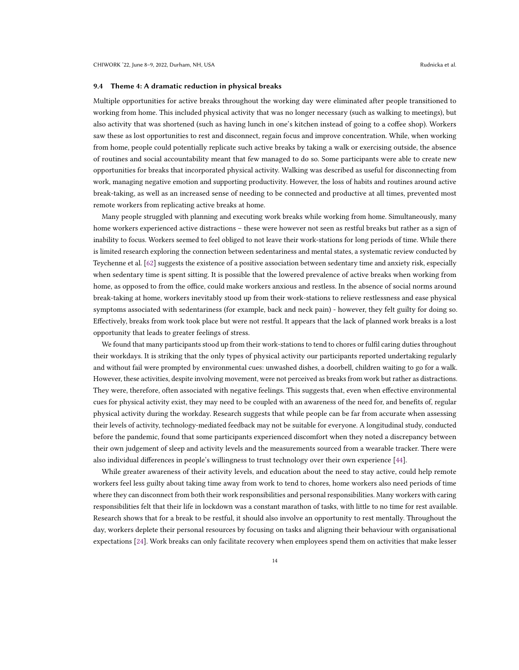#### 9.4 Theme 4: A dramatic reduction in physical breaks

Multiple opportunities for active breaks throughout the working day were eliminated after people transitioned to working from home. This included physical activity that was no longer necessary (such as walking to meetings), but also activity that was shortened (such as having lunch in one's kitchen instead of going to a coffee shop). Workers saw these as lost opportunities to rest and disconnect, regain focus and improve concentration. While, when working from home, people could potentially replicate such active breaks by taking a walk or exercising outside, the absence of routines and social accountability meant that few managed to do so. Some participants were able to create new opportunities for breaks that incorporated physical activity. Walking was described as useful for disconnecting from work, managing negative emotion and supporting productivity. However, the loss of habits and routines around active break-taking, as well as an increased sense of needing to be connected and productive at all times, prevented most remote workers from replicating active breaks at home.

Many people struggled with planning and executing work breaks while working from home. Simultaneously, many home workers experienced active distractions – these were however not seen as restful breaks but rather as a sign of inability to focus. Workers seemed to feel obliged to not leave their work-stations for long periods of time. While there is limited research exploring the connection between sedentariness and mental states, a systematic review conducted by Teychenne et al. [\[62\]](#page-20-9) suggests the existence of a positive association between sedentary time and anxiety risk, especially when sedentary time is spent sitting. It is possible that the lowered prevalence of active breaks when working from home, as opposed to from the office, could make workers anxious and restless. In the absence of social norms around break-taking at home, workers inevitably stood up from their work-stations to relieve restlessness and ease physical symptoms associated with sedentariness (for example, back and neck pain) - however, they felt guilty for doing so. Effectively, breaks from work took place but were not restful. It appears that the lack of planned work breaks is a lost opportunity that leads to greater feelings of stress.

We found that many participants stood up from their work-stations to tend to chores or fulfil caring duties throughout their workdays. It is striking that the only types of physical activity our participants reported undertaking regularly and without fail were prompted by environmental cues: unwashed dishes, a doorbell, children waiting to go for a walk. However, these activities, despite involving movement, were not perceived as breaks from work but rather as distractions. They were, therefore, often associated with negative feelings. This suggests that, even when effective environmental cues for physical activity exist, they may need to be coupled with an awareness of the need for, and benefits of, regular physical activity during the workday. Research suggests that while people can be far from accurate when assessing their levels of activity, technology-mediated feedback may not be suitable for everyone. A longitudinal study, conducted before the pandemic, found that some participants experienced discomfort when they noted a discrepancy between their own judgement of sleep and activity levels and the measurements sourced from a wearable tracker. There were also individual differences in people's willingness to trust technology over their own experience [\[44\]](#page-19-22).

While greater awareness of their activity levels, and education about the need to stay active, could help remote workers feel less guilty about taking time away from work to tend to chores, home workers also need periods of time where they can disconnect from both their work responsibilities and personal responsibilities. Many workers with caring responsibilities felt that their life in lockdown was a constant marathon of tasks, with little to no time for rest available. Research shows that for a break to be restful, it should also involve an opportunity to rest mentally. Throughout the day, workers deplete their personal resources by focusing on tasks and aligning their behaviour with organisational expectations [\[24\]](#page-18-19). Work breaks can only facilitate recovery when employees spend them on activities that make lesser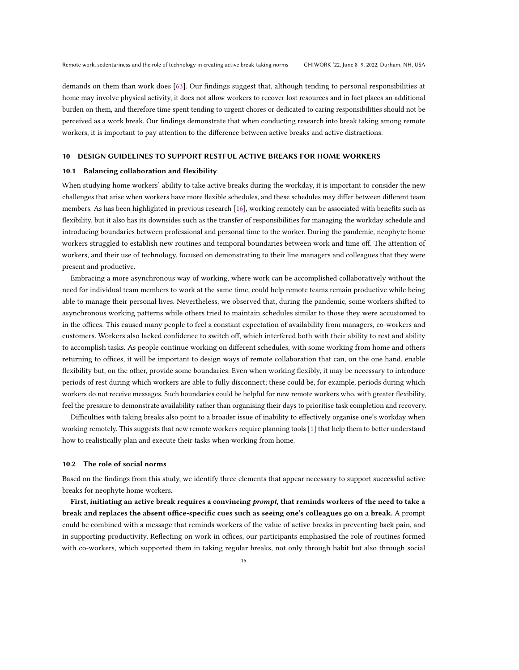demands on them than work does [\[63\]](#page-20-1). Our findings suggest that, although tending to personal responsibilities at home may involve physical activity, it does not allow workers to recover lost resources and in fact places an additional burden on them, and therefore time spent tending to urgent chores or dedicated to caring responsibilities should not be perceived as a work break. Our findings demonstrate that when conducting research into break taking among remote workers, it is important to pay attention to the difference between active breaks and active distractions.

#### 10 DESIGN GUIDELINES TO SUPPORT RESTFUL ACTIVE BREAKS FOR HOME WORKERS

#### 10.1 Balancing collaboration and flexibility

When studying home workers' ability to take active breaks during the workday, it is important to consider the new challenges that arise when workers have more flexible schedules, and these schedules may differ between different team members. As has been highlighted in previous research [\[16\]](#page-18-17), working remotely can be associated with benefits such as flexibility, but it also has its downsides such as the transfer of responsibilities for managing the workday schedule and introducing boundaries between professional and personal time to the worker. During the pandemic, neophyte home workers struggled to establish new routines and temporal boundaries between work and time off. The attention of workers, and their use of technology, focused on demonstrating to their line managers and colleagues that they were present and productive.

Embracing a more asynchronous way of working, where work can be accomplished collaboratively without the need for individual team members to work at the same time, could help remote teams remain productive while being able to manage their personal lives. Nevertheless, we observed that, during the pandemic, some workers shifted to asynchronous working patterns while others tried to maintain schedules similar to those they were accustomed to in the offices. This caused many people to feel a constant expectation of availability from managers, co-workers and customers. Workers also lacked confidence to switch off, which interfered both with their ability to rest and ability to accomplish tasks. As people continue working on different schedules, with some working from home and others returning to offices, it will be important to design ways of remote collaboration that can, on the one hand, enable flexibility but, on the other, provide some boundaries. Even when working flexibly, it may be necessary to introduce periods of rest during which workers are able to fully disconnect; these could be, for example, periods during which workers do not receive messages. Such boundaries could be helpful for new remote workers who, with greater flexibility, feel the pressure to demonstrate availability rather than organising their days to prioritise task completion and recovery.

Difficulties with taking breaks also point to a broader issue of inability to effectively organise one's workday when working remotely. This suggests that new remote workers require planning tools [\[1\]](#page-17-10) that help them to better understand how to realistically plan and execute their tasks when working from home.

#### 10.2 The role of social norms

Based on the findings from this study, we identify three elements that appear necessary to support successful active breaks for neophyte home workers.

First, initiating an active break requires a convincing prompt, that reminds workers of the need to take a break and replaces the absent office-specific cues such as seeing one's colleagues go on a break. A prompt could be combined with a message that reminds workers of the value of active breaks in preventing back pain, and in supporting productivity. Reflecting on work in offices, our participants emphasised the role of routines formed with co-workers, which supported them in taking regular breaks, not only through habit but also through social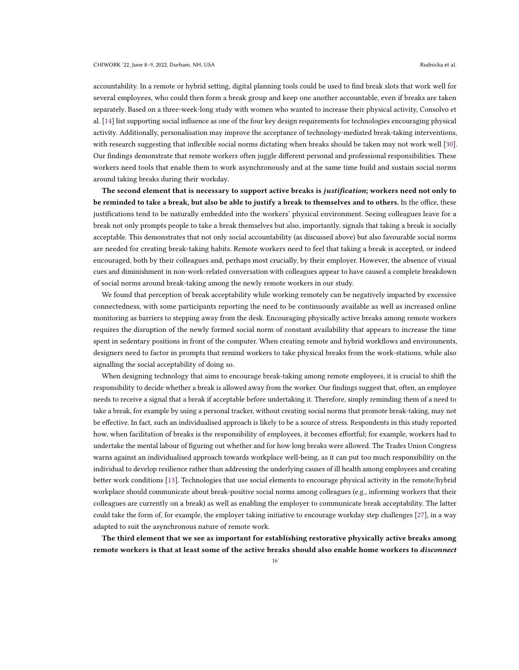accountability. In a remote or hybrid setting, digital planning tools could be used to find break slots that work well for several employees, who could then form a break group and keep one another accountable, even if breaks are taken separately. Based on a three-week-long study with women who wanted to increase their physical activity, Consolvo et al. [\[14\]](#page-18-20) list supporting social influence as one of the four key design requirements for technologies encouraging physical activity. Additionally, personalisation may improve the acceptance of technology-mediated break-taking interventions, with research suggesting that inflexible social norms dictating when breaks should be taken may not work well [\[30\]](#page-18-21). Our findings demonstrate that remote workers often juggle different personal and professional responsibilities. These workers need tools that enable them to work asynchronously and at the same time build and sustain social norms around taking breaks during their workday.

The second element that is necessary to support active breaks is justification; workers need not only to be reminded to take a break, but also be able to justify a break to themselves and to others. In the office, these justifications tend to be naturally embedded into the workers' physical environment. Seeing colleagues leave for a break not only prompts people to take a break themselves but also, importantly, signals that taking a break is socially acceptable. This demonstrates that not only social accountability (as discussed above) but also favourable social norms are needed for creating break-taking habits. Remote workers need to feel that taking a break is accepted, or indeed encouraged, both by their colleagues and, perhaps most crucially, by their employer. However, the absence of visual cues and diminishment in non-work-related conversation with colleagues appear to have caused a complete breakdown of social norms around break-taking among the newly remote workers in our study.

We found that perception of break acceptability while working remotely can be negatively impacted by excessive connectedness, with some participants reporting the need to be continuously available as well as increased online monitoring as barriers to stepping away from the desk. Encouraging physically active breaks among remote workers requires the disruption of the newly formed social norm of constant availability that appears to increase the time spent in sedentary positions in front of the computer. When creating remote and hybrid workflows and environments, designers need to factor in prompts that remind workers to take physical breaks from the work-stations, while also signalling the social acceptability of doing so.

When designing technology that aims to encourage break-taking among remote employees, it is crucial to shift the responsibility to decide whether a break is allowed away from the worker. Our findings suggest that, often, an employee needs to receive a signal that a break if acceptable before undertaking it. Therefore, simply reminding them of a need to take a break, for example by using a personal tracker, without creating social norms that promote break-taking, may not be effective. In fact, such an individualised approach is likely to be a source of stress. Respondents in this study reported how, when facilitation of breaks is the responsibility of employees, it becomes effortful; for example, workers had to undertake the mental labour of figuring out whether and for how long breaks were allowed. The Trades Union Congress warns against an individualised approach towards workplace well-being, as it can put too much responsibility on the individual to develop resilience rather than addressing the underlying causes of ill health among employees and creating better work conditions [\[13\]](#page-17-11). Technologies that use social elements to encourage physical activity in the remote/hybrid workplace should communicate about break-positive social norms among colleagues (e.g., informing workers that their colleagues are currently on a break) as well as enabling the employer to communicate break acceptability. The latter could take the form of, for example, the employer taking initiative to encourage workday step challenges [\[27\]](#page-18-11), in a way adapted to suit the asynchronous nature of remote work.

The third element that we see as important for establishing restorative physically active breaks among remote workers is that at least some of the active breaks should also enable home workers to disconnect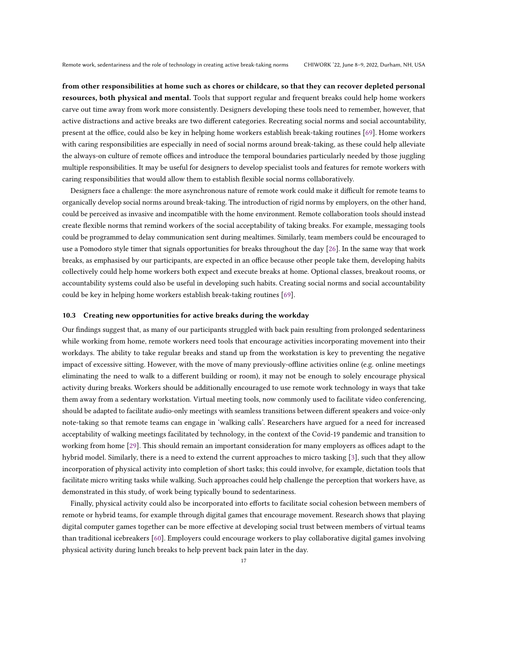from other responsibilities at home such as chores or childcare, so that they can recover depleted personal resources, both physical and mental. Tools that support regular and frequent breaks could help home workers carve out time away from work more consistently. Designers developing these tools need to remember, however, that active distractions and active breaks are two different categories. Recreating social norms and social accountability, present at the office, could also be key in helping home workers establish break-taking routines [\[69\]](#page-20-10). Home workers with caring responsibilities are especially in need of social norms around break-taking, as these could help alleviate the always-on culture of remote offices and introduce the temporal boundaries particularly needed by those juggling multiple responsibilities. It may be useful for designers to develop specialist tools and features for remote workers with caring responsibilities that would allow them to establish flexible social norms collaboratively.

Designers face a challenge: the more asynchronous nature of remote work could make it difficult for remote teams to organically develop social norms around break-taking. The introduction of rigid norms by employers, on the other hand, could be perceived as invasive and incompatible with the home environment. Remote collaboration tools should instead create flexible norms that remind workers of the social acceptability of taking breaks. For example, messaging tools could be programmed to delay communication sent during mealtimes. Similarly, team members could be encouraged to use a Pomodoro style timer that signals opportunities for breaks throughout the day [\[26\]](#page-18-22). In the same way that work breaks, as emphasised by our participants, are expected in an office because other people take them, developing habits collectively could help home workers both expect and execute breaks at home. Optional classes, breakout rooms, or accountability systems could also be useful in developing such habits. Creating social norms and social accountability could be key in helping home workers establish break-taking routines [\[69\]](#page-20-10).

# 10.3 Creating new opportunities for active breaks during the workday

Our findings suggest that, as many of our participants struggled with back pain resulting from prolonged sedentariness while working from home, remote workers need tools that encourage activities incorporating movement into their workdays. The ability to take regular breaks and stand up from the workstation is key to preventing the negative impact of excessive sitting. However, with the move of many previously-offline activities online (e.g. online meetings eliminating the need to walk to a different building or room), it may not be enough to solely encourage physical activity during breaks. Workers should be additionally encouraged to use remote work technology in ways that take them away from a sedentary workstation. Virtual meeting tools, now commonly used to facilitate video conferencing, should be adapted to facilitate audio-only meetings with seamless transitions between different speakers and voice-only note-taking so that remote teams can engage in 'walking calls'. Researchers have argued for a need for increased acceptability of walking meetings facilitated by technology, in the context of the Covid-19 pandemic and transition to working from home [\[29\]](#page-18-23). This should remain an important consideration for many employers as offices adapt to the hybrid model. Similarly, there is a need to extend the current approaches to micro tasking [\[3\]](#page-17-12), such that they allow incorporation of physical activity into completion of short tasks; this could involve, for example, dictation tools that facilitate micro writing tasks while walking. Such approaches could help challenge the perception that workers have, as demonstrated in this study, of work being typically bound to sedentariness.

Finally, physical activity could also be incorporated into efforts to facilitate social cohesion between members of remote or hybrid teams, for example through digital games that encourage movement. Research shows that playing digital computer games together can be more effective at developing social trust between members of virtual teams than traditional icebreakers [\[60\]](#page-19-23). Employers could encourage workers to play collaborative digital games involving physical activity during lunch breaks to help prevent back pain later in the day.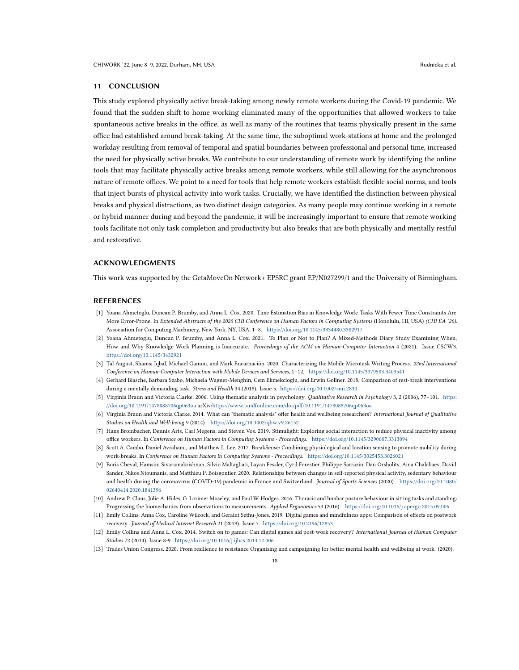## 11 CONCLUSION

This study explored physically active break-taking among newly remote workers during the Covid-19 pandemic. We found that the sudden shift to home working eliminated many of the opportunities that allowed workers to take spontaneous active breaks in the office, as well as many of the routines that teams physically present in the same office had established around break-taking. At the same time, the suboptimal work-stations at home and the prolonged workday resulting from removal of temporal and spatial boundaries between professional and personal time, increased the need for physically active breaks. We contribute to our understanding of remote work by identifying the online tools that may facilitate physically active breaks among remote workers, while still allowing for the asynchronous nature of remote offices. We point to a need for tools that help remote workers establish flexible social norms, and tools that inject bursts of physical activity into work tasks. Crucially, we have identified the distinction between physical breaks and physical distractions, as two distinct design categories. As many people may continue working in a remote or hybrid manner during and beyond the pandemic, it will be increasingly important to ensure that remote working tools facilitate not only task completion and productivity but also breaks that are both physically and mentally restful and restorative.

## ACKNOWLEDGMENTS

This work was supported by the GetaMoveOn Network+ EPSRC grant EP/N027299/1 and the University of Birmingham.

#### REFERENCES

- <span id="page-17-10"></span>[1] Yoana Ahmetoglu, Duncan P. Brumby, and Anna L. Cox. 2020. Time Estimation Bias in Knowledge Work: Tasks With Fewer Time Constraints Are More Error-Prone. In Extended Abstracts of the 2020 CHI Conference on Human Factors in Computing Systems (Honolulu, HI, USA) (CHI EA '20). Association for Computing Machinery, New York, NY, USA, 1–8. <https://doi.org/10.1145/3334480.3382917>
- <span id="page-17-9"></span>[2] Yoana Ahmetoglu, Duncan P. Brumby, and Anna L. Cox. 2021. To Plan or Not to Plan? A Mixed-Methods Diary Study Examining When, How and Why Knowledge Work Planning is Inaccurate. Proceedings of the ACM on Human-Computer Interaction 4 (2021). Issue CSCW3. <https://doi.org/10.1145/3432921>
- <span id="page-17-12"></span>[3] Tal August, Shamsi Iqbal, Michael Gamon, and Mark Encarnación. 2020. Characterizing the Mobile Microtask Writing Process. 22nd International Conference on Human-Computer Interaction with Mobile Devices and Services, 1–12. <https://doi.org/10.1145/3379503.3403541>
- <span id="page-17-3"></span>[4] Gerhard Blasche, Barbara Szabo, Michaela Wagner-Menghin, Cem Ekmekcioglu, and Erwin Gollner. 2018. Comparison of rest-break interventions during a mentally demanding task. Stress and Health 34 (2018). Issue 5. <https://doi.org/10.1002/smi.2830>
- <span id="page-17-8"></span>[5] Virginia Braun and Victoria Clarke. 2006. Using thematic analysis in psychology. Qualitative Research in Psychology 3, 2 (2006), 77–101. [https:](https://doi.org/10.1191/1478088706qp063oa) [//doi.org/10.1191/1478088706qp063oa](https://doi.org/10.1191/1478088706qp063oa) arXiv[:https://www.tandfonline.com/doi/pdf/10.1191/1478088706qp063oa](https://arxiv.org/abs/https://www.tandfonline.com/doi/pdf/10.1191/1478088706qp063oa)
- <span id="page-17-7"></span>[6] Virginia Braun and Victoria Clarke. 2014. What can "thematic analysis" offer health and wellbeing researchers? International Journal of Qualitative Studies on Health and Well-being 9 (2014). <https://doi.org/10.3402/qhw.v9.26152>
- <span id="page-17-5"></span>[7] Hans Brombacher, Dennis Arts, Carl Megens, and Steven Vos. 2019. Stimulight: Exploring social interaction to reduce physical inactivity among office workers. In Conference on Human Factors in Computing Systems - Proceedings. <https://doi.org/10.1145/3290607.3313094>
- <span id="page-17-4"></span>[8] Scott A. Cambo, Daniel Avrahami, and Matthew L. Lee. 2017. BreakSense: Combining physiological and location sensing to promote mobility during work-breaks. In Conference on Human Factors in Computing Systems - Proceedings. <https://doi.org/10.1145/3025453.3026021>
- <span id="page-17-6"></span>[9] Boris Cheval, Hamsini Sivaramakrishnan, Silvio Maltagliati, Layan Fessler, Cyril Forestier, Philippe Sarrazin, Dan Orsholits, Aïna Chalabaev, David Sander, Nikos Ntoumanis, and Matthieu P. Boisgontier. 2020. Relationships between changes in self-reported physical activity, sedentary behaviour and health during the coronavirus (COVID-19) pandemic in France and Switzerland. Journal of Sports Sciences (2020). [https://doi.org/10.1080/](https://doi.org/10.1080/02640414.2020.1841396) [02640414.2020.1841396](https://doi.org/10.1080/02640414.2020.1841396)
- <span id="page-17-2"></span>[10] Andrew P. Claus, Julie A. Hides, G. Lorimer Moseley, and Paul W. Hodges. 2016. Thoracic and lumbar posture behaviour in sitting tasks and standing: Progressing the biomechanics from observations to measurements. Applied Ergonomics 53 (2016). <https://doi.org/10.1016/j.apergo.2015.09.006>
- <span id="page-17-0"></span>[11] Emily Collins, Anna Cox, Caroline Wilcock, and Geraint Sethu-Jones. 2019. Digital games and mindfulness apps: Comparison of effects on postwork recovery. Journal of Medical Internet Research 21 (2019). Issue 7. <https://doi.org/10.2196/12853>
- <span id="page-17-1"></span>[12] Emily Collins and Anna L. Cox. 2014. Switch on to games: Can digital games aid post-work recovery? International Journal of Human Computer Studies 72 (2014). Issue 8-9. <https://doi.org/10.1016/j.ijhcs.2013.12.006>
- <span id="page-17-11"></span>[13] Trades Union Congress. 2020. From resilience to resistance Organising and campaigning for better mental health and wellbeing at work. (2020).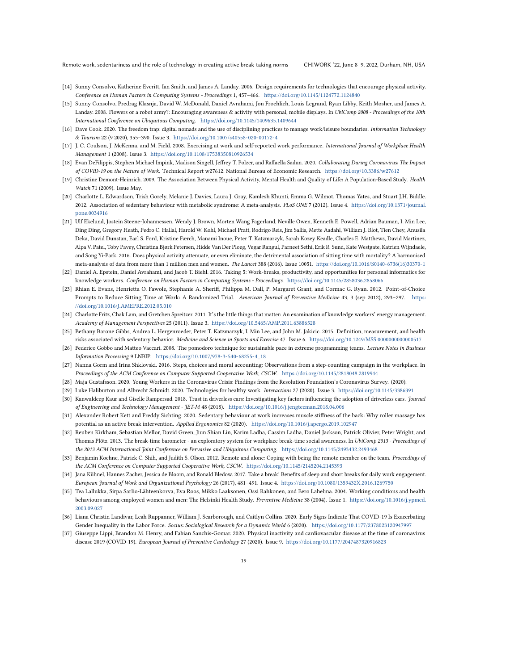Remote work, sedentariness and the role of technology in creating active break-taking norms CHIWORK '22, June 8–9, 2022, Durham, NH, USA

- <span id="page-18-20"></span>[14] Sunny Consolvo, Katherine Everitt, Ian Smith, and James A. Landay. 2006. Design requirements for technologies that encourage physical activity. Conference on Human Factors in Computing Systems - Proceedings 1, 457–466. <https://doi.org/10.1145/1124772.1124840>
- <span id="page-18-10"></span>[15] Sunny Consolvo, Predrag Klasnja, David W. McDonald, Daniel Avrahami, Jon Froehlich, Louis Legrand, Ryan Libby, Keith Mosher, and James A. Landay. 2008. Flowers or a robot army?: Encouraging awareness & activity with personal, mobile displays. In UbiComp 2008 - Proceedings of the 10th International Conference on Ubiquitous Computing. <https://doi.org/10.1145/1409635.1409644>
- <span id="page-18-17"></span>[16] Dave Cook. 2020. The freedom trap: digital nomads and the use of disciplining practices to manage work/leisure boundaries. Information Technology & Tourism 22 (9 2020), 355–390. Issue 3. <https://doi.org/10.1007/s40558-020-00172-4>
- <span id="page-18-7"></span>[17] J. C. Coulson, J. McKenna, and M. Field. 2008. Exercising at work and self-reported work performance. International Journal of Workplace Health Management 1 (2008). Issue 3. <https://doi.org/10.1108/17538350810926534>
- <span id="page-18-14"></span>[18] Evan DeFilippis, Stephen Michael Impink, Madison Singell, Jeffrey T. Polzer, and Raffaella Sadun. 2020. Collaborating During Coronavirus: The Impact of COVID-19 on the Nature of Work. Technical Report w27612. National Bureau of Economic Research. <https://doi.org/10.3386/w27612>
- <span id="page-18-4"></span>[19] Christine Demont-Heinrich. 2009. The Association Between Physical Activity, Mental Health and Ouality of Life: A Population-Based Study. Health Watch 71 (2009). Issue May.
- <span id="page-18-3"></span>[20] Charlotte L. Edwardson, Trish Gorely, Melanie J. Davies, Laura J. Gray, Kamlesh Khunti, Emma G. Wilmot, Thomas Yates, and Stuart J.H. Biddle. 2012. Association of sedentary behaviour with metabolic syndrome: A meta-analysis. PLoS ONE 7 (2012). Issue 4. [https://doi.org/10.1371/journal.](https://doi.org/10.1371/journal.pone.0034916) [pone.0034916](https://doi.org/10.1371/journal.pone.0034916)
- <span id="page-18-1"></span>[21] Ulf Ekelund, Jostein Steene-Johannessen, Wendy J. Brown, Morten Wang Fagerland, Neville Owen, Kenneth E. Powell, Adrian Bauman, I. Min Lee, Ding Ding, Gregory Heath, Pedro C. Hallal, Harold W. Kohl, Michael Pratt, Rodrigo Reis, Jim Sallis, Mette Aadahl, William J. Blot, Tien Chey, Anusila Deka, David Dunstan, Earl S. Ford, Kristine Færch, Manami Inoue, Peter T. Katzmarzyk, Sarah Kozey Keadle, Charles E. Matthews, David Martinez, Alpa V. Patel, Toby Pavey, Christina Bjørk Petersen, Hidde Van Der Ploeg, Vegar Rangul, Parneet Sethi, Erik R. Sund, Kate Westgate, Katrien Wijndaele, and Song Yi-Park. 2016. Does physical activity attenuate, or even eliminate, the detrimental association of sitting time with mortality? A harmonised meta-analysis of data from more than 1 million men and women. The Lancet 388 (2016). Issue 10051. [https://doi.org/10.1016/S0140-6736\(16\)30370-1](https://doi.org/10.1016/S0140-6736(16)30370-1)
- <span id="page-18-0"></span>[22] Daniel A. Epstein, Daniel Avrahami, and Jacob T. Biehl. 2016. Taking 5: Work-breaks, productivity, and opportunities for personal informatics for knowledge workers. Conference on Human Factors in Computing Systems - Proceedings. <https://doi.org/10.1145/2858036.2858066>
- <span id="page-18-9"></span>[23] Rhian E. Evans, Henrietta O. Fawole, Stephanie A. Sheriff, Philippa M. Dall, P. Margaret Grant, and Cormac G. Ryan. 2012. Point-of-Choice Prompts to Reduce Sitting Time at Work: A Randomized Trial. American Journal of Preventive Medicine 43, 3 (sep 2012), 293–297. [https:](https://doi.org/10.1016/J.AMEPRE.2012.05.010) [//doi.org/10.1016/J.AMEPRE.2012.05.010](https://doi.org/10.1016/J.AMEPRE.2012.05.010)
- <span id="page-18-19"></span>[24] Charlotte Fritz, Chak Lam, and Gretchen Spreitzer. 2011. It's the little things that matter: An examination of knowledge workers' energy management. Academy of Management Perspectives 25 (2011). Issue 3. <https://doi.org/10.5465/AMP.2011.63886528>
- <span id="page-18-2"></span>[25] Bethany Barone Gibbs, Andrea L. Hergenroeder, Peter T. Katzmarzyk, I. Min Lee, and John M. Jakicic. 2015. Definition, measurement, and health risks associated with sedentary behavior. Medicine and Science in Sports and Exercise 47. Issue 6. <https://doi.org/10.1249/MSS.0000000000000517>
- <span id="page-18-22"></span>[26] Federico Gobbo and Matteo Vaccari. 2008. The pomodoro technique for sustainable pace in extreme programming teams. Lecture Notes in Business Information Processing 9 LNBIP. [https://doi.org/10.1007/978-3-540-68255-4\\_18](https://doi.org/10.1007/978-3-540-68255-4_18)
- <span id="page-18-11"></span>[27] Nanna Gorm and Irina Shklovski. 2016. Steps, choices and moral accounting: Observations from a step-counting campaign in the workplace. In Proceedings of the ACM Conference on Computer Supported Cooperative Work, CSCW. <https://doi.org/10.1145/2818048.2819944>
- <span id="page-18-18"></span>[28] Maja Gustafsson. 2020. Young Workers in the Coronavirus Crisis: Findings from the Resolution Foundation's Coronavirus Survey. (2020).
- <span id="page-18-23"></span>[29] Luke Haliburton and Albrecht Schmidt. 2020. Technologies for healthy work. Interactions 27 (2020). Issue 3. <https://doi.org/10.1145/3386391>
- <span id="page-18-21"></span>[30] Kanwaldeep Kaur and Giselle Rampersad. 2018. Trust in driverless cars: Investigating key factors influencing the adoption of driverless cars. Journal of Engineering and Technology Management - JET-M 48 (2018). <https://doi.org/10.1016/j.jengtecman.2018.04.006>
- <span id="page-18-6"></span>[31] Alexander Robert Kett and Freddy Sichting. 2020. Sedentary behaviour at work increases muscle stiffness of the back: Why roller massage has potential as an active break intervention. Applied Ergonomics 82 (2020). <https://doi.org/10.1016/j.apergo.2019.102947>
- <span id="page-18-12"></span>[32] Reuben Kirkham, Sebastian Mellor, David Green, Jiun Shian Lin, Karim Ladha, Cassim Ladha, Daniel Jackson, Patrick Olivier, Peter Wright, and Thomas Plötz. 2013. The break-time barometer - an exploratory system for workplace break-time social awareness. In UbiComp 2013 - Proceedings of the 2013 ACM International Joint Conference on Pervasive and Ubiquitous Computing. <https://doi.org/10.1145/2493432.2493468>
- <span id="page-18-8"></span>[33] Benjamin Koehne, Patrick C. Shih, and Judith S. Olson. 2012. Remote and alone: Coping with being the remote member on the team. Proceedings of the ACM Conference on Computer Supported Cooperative Work, CSCW. <https://doi.org/10.1145/2145204.2145393>
- <span id="page-18-5"></span>[34] Jana Kühnel, Hannes Zacher, Jessica de Bloom, and Ronald Bledow. 2017. Take a break! Benefits of sleep and short breaks for daily work engagement. European Journal of Work and Organizational Psychology 26 (2017), 481–491. Issue 4. <https://doi.org/10.1080/1359432X.2016.1269750>
- <span id="page-18-15"></span>[35] Tea Lallukka, Sirpa Sarlio-Lähteenkorva, Eva Roos, Mikko Laaksonen, Ossi Rahkonen, and Eero Lahelma. 2004. Working conditions and health behaviours among employed women and men: The Helsinki Health Study. Preventive Medicine 38 (2004). Issue 1. [https://doi.org/10.1016/j.ypmed.](https://doi.org/10.1016/j.ypmed.2003.09.027) [2003.09.027](https://doi.org/10.1016/j.ypmed.2003.09.027)
- <span id="page-18-16"></span>[36] Liana Christin Landivar, Leah Ruppanner, William J. Scarborough, and Caitlyn Collins. 2020. Early Signs Indicate That COVID-19 Is Exacerbating Gender Inequality in the Labor Force. Socius: Sociological Research for a Dynamic World 6 (2020). <https://doi.org/10.1177/2378023120947997>
- <span id="page-18-13"></span>[37] Giuseppe Lippi, Brandon M. Henry, and Fabian Sanchis-Gomar. 2020. Physical inactivity and cardiovascular disease at the time of coronavirus disease 2019 (COVID-19). European Journal of Preventive Cardiology 27 (2020). Issue 9. <https://doi.org/10.1177/2047487320916823>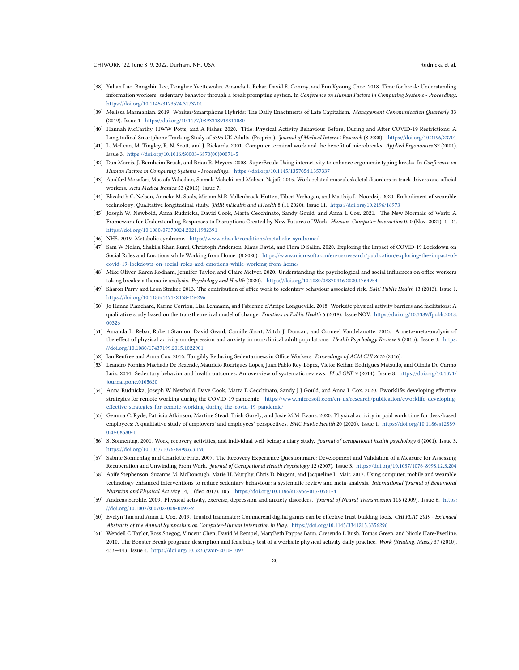- <span id="page-19-19"></span>[38] Yuhan Luo, Bongshin Lee, Donghee Yvettewohn, Amanda L. Rebar, David E. Conroy, and Eun Kyoung Choe. 2018. Time for break: Understanding information workers' sedentary behavior through a break prompting system. In Conference on Human Factors in Computing Systems - Proceedings. <https://doi.org/10.1145/3173574.3173701>
- <span id="page-19-20"></span>[39] Melissa Mazmanian. 2019. Worker/Smartphone Hybrids: The Daily Enactments of Late Capitalism. Management Communication Quarterly 33 (2019). Issue 1. <https://doi.org/10.1177/0893318918811080>
- <span id="page-19-6"></span>[40] Hannah McCarthy, HWW Potts, and A Fisher. 2020. Title: Physical Activity Behaviour Before, During and After COVID-19 Restrictions: A Longitudinal Smartphone Tracking Study of 5395 UK Adults. (Preprint). Journal of Medical Internet Research (8 2020). <https://doi.org/10.2196/23701>
- <span id="page-19-21"></span>[41] L. McLean, M. Tingley, R. N. Scott, and J. Rickards. 2001. Computer terminal work and the benefit of microbreaks. Applied Ergonomics 32 (2001). Issue 3. [https://doi.org/10.1016/S0003-6870\(00\)00071-5](https://doi.org/10.1016/S0003-6870(00)00071-5)
- <span id="page-19-18"></span>[42] Dan Morris, J. Bernheim Brush, and Brian R. Meyers. 2008. SuperBreak: Using interactivity to enhance ergonomic typing breaks. In Conference on Human Factors in Computing Systems - Proceedings. <https://doi.org/10.1145/1357054.1357337>
- <span id="page-19-11"></span>[43] Abolfazl Mozafari, Mostafa Vahedian, Siamak Mohebi, and Mohsen Najafi. 2015. Work-related musculoskeletal disorders in truck drivers and official workers. Acta Medica Iranica 53 (2015). Issue 7.
- <span id="page-19-22"></span>[44] Elizabeth C. Nelson, Anneke M. Sools, Miriam M.R. Vollenbroek-Hutten, Tibert Verhagen, and Matthijs L. Noordzij. 2020. Embodiment of wearable technology: Qualitative longitudinal study. JMIR mHealth and uHealth 8 (11 2020). Issue 11. <https://doi.org/10.2196/16973>
- <span id="page-19-3"></span>[45] Joseph W. Newbold, Anna Rudnicka, David Cook, Marta Cecchinato, Sandy Gould, and Anna L Cox. 2021. The New Normals of Work: A Framework for Understanding Responses to Disruptions Created by New Futures of Work. Human–Computer Interaction 0, 0 (Nov. 2021), 1–24. <https://doi.org/10.1080/07370024.2021.1982391>
- <span id="page-19-7"></span>[46] NHS. 2019. Metabolic syndrome. <https://www.nhs.uk/conditions/metabolic-syndrome/>
- <span id="page-19-5"></span>[47] Sam W Nolan, Shakila Khan Rumi, Christoph Anderson, Klaus David, and Flora D Salim. 2020. Exploring the Impact of COVID-19 Lockdown on Social Roles and Emotions while Working from Home. (8 2020). [https://www.microsoft.com/en-us/research/publication/exploring-the-impact-of](https://www.microsoft.com/en-us/research/publication/exploring-the-impact-of-covid-19-lockdown-on-social-roles-and-emotions-while-working-from-home/)[covid-19-lockdown-on-social-roles-and-emotions-while-working-from-home/](https://www.microsoft.com/en-us/research/publication/exploring-the-impact-of-covid-19-lockdown-on-social-roles-and-emotions-while-working-from-home/)
- <span id="page-19-16"></span>[48] Mike Oliver, Karen Rodham, Jennifer Taylor, and Claire McIver. 2020. Understanding the psychological and social influences on office workers taking breaks; a thematic analysis. Psychology and Health (2020). <https://doi.org/10.1080/08870446.2020.1764954>
- <span id="page-19-2"></span>[49] Sharon Parry and Leon Straker. 2013. The contribution of office work to sedentary behaviour associated risk. BMC Public Health 13 (2013). Issue 1. <https://doi.org/10.1186/1471-2458-13-296>
- <span id="page-19-15"></span>[50] Jo Hanna Planchard, Karine Corrion, Lisa Lehmann, and Fabienne d'Arripe Longueville. 2018. Worksite physical activity barriers and facilitators: A qualitative study based on the transtheoretical model of change. Frontiers in Public Health 6 (2018). Issue NOV. [https://doi.org/10.3389/fpubh.2018.](https://doi.org/10.3389/fpubh.2018.00326) [00326](https://doi.org/10.3389/fpubh.2018.00326)
- <span id="page-19-9"></span>[51] Amanda L. Rebar, Robert Stanton, David Geard, Camille Short, Mitch J. Duncan, and Corneel Vandelanotte. 2015. A meta-meta-analysis of the effect of physical activity on depression and anxiety in non-clinical adult populations. Health Psychology Review 9 (2015). Issue 3. [https:](https://doi.org/10.1080/17437199.2015.1022901) [//doi.org/10.1080/17437199.2015.1022901](https://doi.org/10.1080/17437199.2015.1022901)
- <span id="page-19-13"></span>[52] Ian Renfree and Anna Cox. 2016. Tangibly Reducing Sedentariness in Office Workers. Proceedings of ACM CHI 2016 (2016).
- <span id="page-19-8"></span>[53] Leandro Fornias Machado De Rezende, Maurício Rodrigues Lopes, Juan Pablo Rey-López, Victor Keihan Rodrigues Matsudo, and Olinda Do Carmo Luiz. 2014. Sedentary behavior and health outcomes: An overview of systematic reviews. PLoS ONE 9 (2014). Issue 8. [https://doi.org/10.1371/](https://doi.org/10.1371/journal.pone.0105620) [journal.pone.0105620](https://doi.org/10.1371/journal.pone.0105620)
- <span id="page-19-4"></span>[54] Anna Rudnicka, Joseph W Newbold, Dave Cook, Marta E Cecchinato, Sandy J J Gould, and Anna L Cox. 2020. Eworklife: developing effective strategies for remote working during the COVID-19 pandemic. [https://www.microsoft.com/en-us/research/publication/eworklife-developing](https://www.microsoft.com/en-us/research/publication/eworklife-developing-effective-strategies-for-remote-working-during-the-covid-19-pandemic/)[effective-strategies-for-remote-working-during-the-covid-19-pandemic/](https://www.microsoft.com/en-us/research/publication/eworklife-developing-effective-strategies-for-remote-working-during-the-covid-19-pandemic/)
- <span id="page-19-14"></span>[55] Gemma C. Ryde, Patricia Atkinson, Martine Stead, Trish Gorely, and Josie M.M. Evans. 2020. Physical activity in paid work time for desk-based employees: A qualitative study of employers' and employees' perspectives. BMC Public Health 20 (2020). Issue 1. [https://doi.org/10.1186/s12889-](https://doi.org/10.1186/s12889-020-08580-1) [020-08580-1](https://doi.org/10.1186/s12889-020-08580-1)
- <span id="page-19-0"></span>[56] S. Sonnentag. 2001. Work, recovery activities, and individual well-being: a diary study. Journal of occupational health psychology 6 (2001). Issue 3. <https://doi.org/10.1037/1076-8998.6.3.196>
- <span id="page-19-1"></span>[57] Sabine Sonnentag and Charlotte Fritz. 2007. The Recovery Experience Questionnaire: Development and Validation of a Measure for Assessing Recuperation and Unwinding From Work. Journal of Occupational Health Psychology 12 (2007). Issue 3. <https://doi.org/10.1037/1076-8998.12.3.204>
- <span id="page-19-17"></span>[58] Aoife Stephenson, Suzanne M. McDonough, Marie H. Murphy, Chris D. Nugent, and Jacqueline L. Mair. 2017. Using computer, mobile and wearable technology enhanced interventions to reduce sedentary behaviour: a systematic review and meta-analysis. International Journal of Behavioral Nutrition and Physical Activity 14, 1 (dec 2017), 105. <https://doi.org/10.1186/s12966-017-0561-4>
- <span id="page-19-10"></span>[59] Andreas Ströhle. 2009. Physical activity, exercise, depression and anxiety disorders. Journal of Neural Transmission 116 (2009). Issue 6. [https:](https://doi.org/10.1007/s00702-008-0092-x) [//doi.org/10.1007/s00702-008-0092-x](https://doi.org/10.1007/s00702-008-0092-x)
- <span id="page-19-23"></span>[60] Evelyn Tan and Anna L. Cox. 2019. Trusted teammates: Commercial digital games can be effective trust-building tools. CHI PLAY 2019 - Extended Abstracts of the Annual Symposium on Computer-Human Interaction in Play. <https://doi.org/10.1145/3341215.3356296>
- <span id="page-19-12"></span>[61] Wendell C Taylor, Ross Shegog, Vincent Chen, David M Rempel, MaryBeth Pappas Baun, Cresendo L Bush, Tomas Green, and Nicole Hare-Everline. 2010. The Booster Break program: description and feasibility test of a worksite physical activity daily practice. Work (Reading, Mass.) 37 (2010), 433—443. Issue 4. <https://doi.org/10.3233/wor-2010-1097>